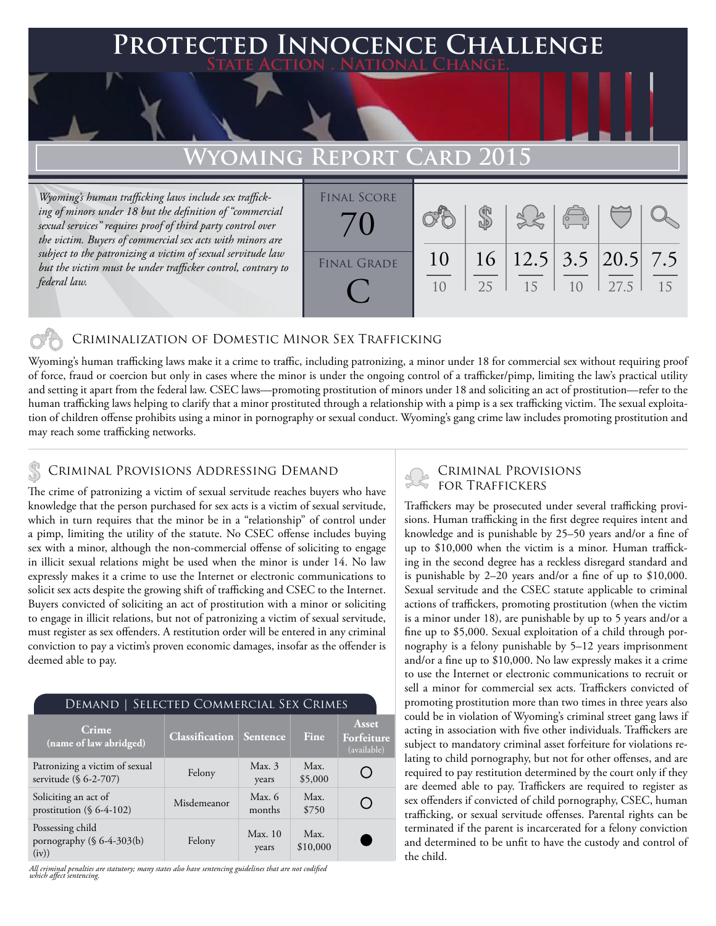## **FED INNOCENCE CHALLENGE State Action . National Change.**

## Wyoming Repor

*Wyoming's human trafficking laws include sex trafficking of minors under 18 but the definition of "commercial sexual services" requires proof of third party control over the victim. Buyers of commercial sex acts with minors are subject to the patronizing a victim of sexual servitude law but the victim must be under trafficker control, contrary to federal law.* 

| 2.5 | 15 | 10 | 27.5                                           | 15                             |
|-----|----|----|------------------------------------------------|--------------------------------|
|     |    |    |                                                |                                |
|     |    |    | $\begin{pmatrix} 0 & 0 \\ 0 & 0 \end{pmatrix}$ | $16$   12.5   3.5   20.5   7.5 |

### Criminalization of Domestic Minor Sex Trafficking

Wyoming's human trafficking laws make it a crime to traffic, including patronizing, a minor under 18 for commercial sex without requiring proof of force, fraud or coercion but only in cases where the minor is under the ongoing control of a trafficker/pimp, limiting the law's practical utility and setting it apart from the federal law. CSEC laws—promoting prostitution of minors under 18 and soliciting an act of prostitution—refer to the human trafficking laws helping to clarify that a minor prostituted through a relationship with a pimp is a sex trafficking victim. The sexual exploitation of children offense prohibits using a minor in pornography or sexual conduct. Wyoming's gang crime law includes promoting prostitution and may reach some trafficking networks.

### Criminal Provisions Addressing Demand

The crime of patronizing a victim of sexual servitude reaches buyers who have knowledge that the person purchased for sex acts is a victim of sexual servitude, which in turn requires that the minor be in a "relationship" of control under a pimp, limiting the utility of the statute. No CSEC offense includes buying sex with a minor, although the non-commercial offense of soliciting to engage in illicit sexual relations might be used when the minor is under 14. No law expressly makes it a crime to use the Internet or electronic communications to solicit sex acts despite the growing shift of trafficking and CSEC to the Internet. Buyers convicted of soliciting an act of prostitution with a minor or soliciting to engage in illicit relations, but not of patronizing a victim of sexual servitude, must register as sex offenders. A restitution order will be entered in any criminal conviction to pay a victim's proven economic damages, insofar as the offender is deemed able to pay.

| DEMAND   SELECTED COMMERCIAL SEX CRIMES                    |                       |                    |                  |                                    |  |  |  |
|------------------------------------------------------------|-----------------------|--------------------|------------------|------------------------------------|--|--|--|
| Crime<br>(name of law abridged)                            | <b>Classification</b> | Sentence           | Fine             | Asset<br>Forfeiture<br>(available) |  |  |  |
| Patronizing a victim of sexual<br>servitude (§ 6-2-707)    | Felony                | Max.3<br>years     | Max.<br>\$5,000  |                                    |  |  |  |
| Soliciting an act of<br>prostitution (§ 6-4-102)           | Misdemeanor           | Max. $6$<br>months | Max.<br>\$750    | n.                                 |  |  |  |
| Possessing child<br>pornography $(\S 6-4-303(b))$<br>(iv)) | Felony                | Max.10<br>years    | Max.<br>\$10,000 |                                    |  |  |  |

*All criminal penalties are statutory; many states also have sentencing guidelines that are not codified which affect sentencing.* 

# Criminal Provisions

Traffickers may be prosecuted under several trafficking provisions. Human trafficking in the first degree requires intent and knowledge and is punishable by 25–50 years and/or a fine of up to \$10,000 when the victim is a minor. Human trafficking in the second degree has a reckless disregard standard and is punishable by 2–20 years and/or a fine of up to \$10,000. Sexual servitude and the CSEC statute applicable to criminal actions of traffickers, promoting prostitution (when the victim is a minor under 18), are punishable by up to 5 years and/or a fine up to \$5,000. Sexual exploitation of a child through pornography is a felony punishable by 5–12 years imprisonment and/or a fine up to \$10,000. No law expressly makes it a crime to use the Internet or electronic communications to recruit or sell a minor for commercial sex acts. Traffickers convicted of promoting prostitution more than two times in three years also could be in violation of Wyoming's criminal street gang laws if acting in association with five other individuals. Traffickers are subject to mandatory criminal asset forfeiture for violations relating to child pornography, but not for other offenses, and are required to pay restitution determined by the court only if they are deemed able to pay. Traffickers are required to register as sex offenders if convicted of child pornography, CSEC, human trafficking, or sexual servitude offenses. Parental rights can be terminated if the parent is incarcerated for a felony conviction and determined to be unfit to have the custody and control of the child.